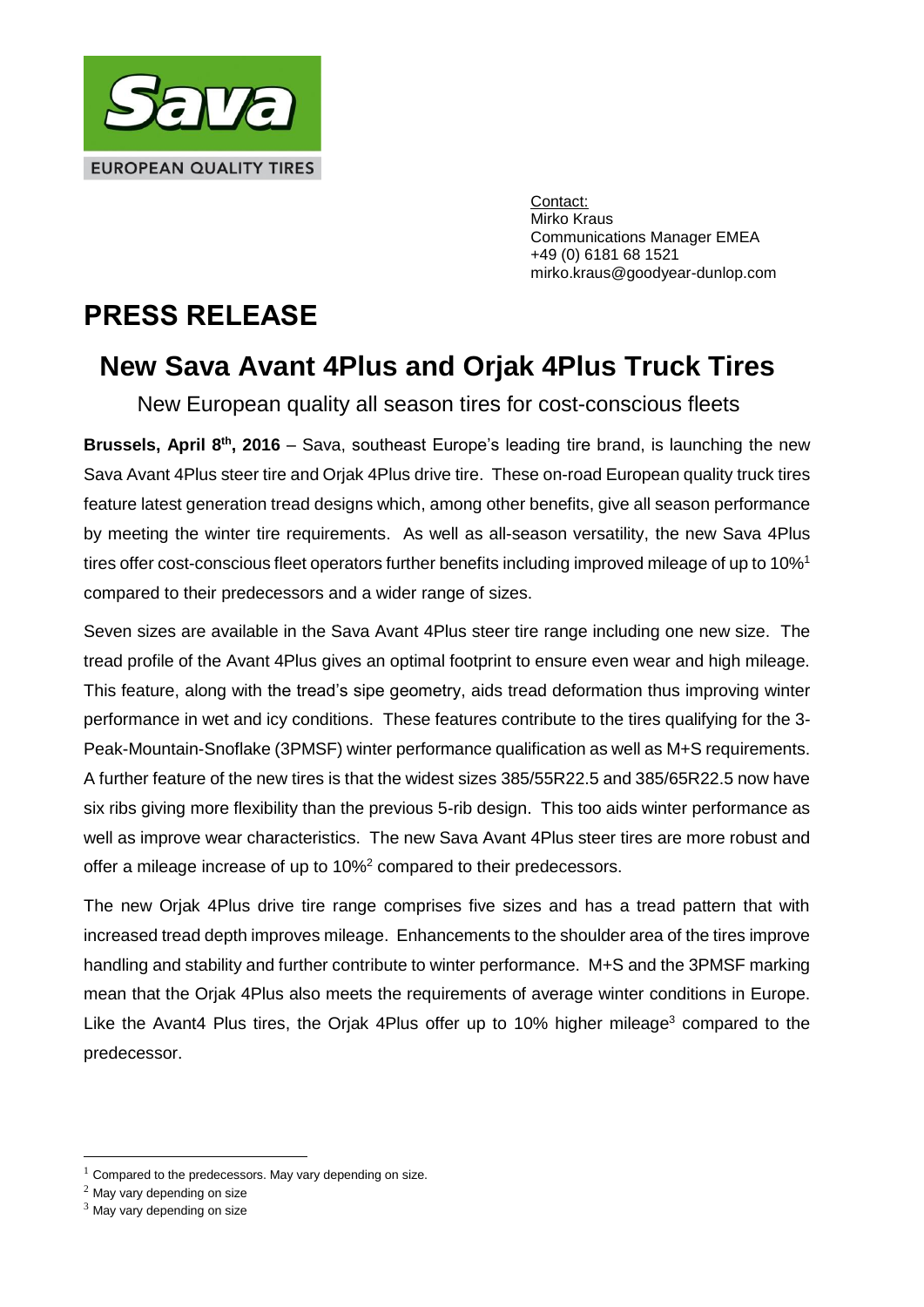

Contact: Mirko Kraus Communications Manager EMEA +49 (0) 6181 68 1521 mirko.kraus@goodyear-dunlop.com

## **PRESS RELEASE**

## **New Sava Avant 4Plus and Orjak 4Plus Truck Tires**

New European quality all season tires for cost-conscious fleets

**Brussels, April 8<sup>th</sup>, 2016** – Sava, southeast Europe's leading tire brand, is launching the new Sava Avant 4Plus steer tire and Orjak 4Plus drive tire. These on-road European quality truck tires feature latest generation tread designs which, among other benefits, give all season performance by meeting the winter tire requirements. As well as all-season versatility, the new Sava 4Plus tires offer cost-conscious fleet operators further benefits including improved mileage of up to 10%<sup>1</sup> compared to their predecessors and a wider range of sizes.

Seven sizes are available in the Sava Avant 4Plus steer tire range including one new size. The tread profile of the Avant 4Plus gives an optimal footprint to ensure even wear and high mileage. This feature, along with the tread's sipe geometry, aids tread deformation thus improving winter performance in wet and icy conditions. These features contribute to the tires qualifying for the 3- Peak-Mountain-Snoflake (3PMSF) winter performance qualification as well as M+S requirements. A further feature of the new tires is that the widest sizes 385/55R22.5 and 385/65R22.5 now have six ribs giving more flexibility than the previous 5-rib design. This too aids winter performance as well as improve wear characteristics. The new Sava Avant 4Plus steer tires are more robust and offer a mileage increase of up to 10%<sup>2</sup> compared to their predecessors.

The new Orjak 4Plus drive tire range comprises five sizes and has a tread pattern that with increased tread depth improves mileage. Enhancements to the shoulder area of the tires improve handling and stability and further contribute to winter performance. M+S and the 3PMSF marking mean that the Orjak 4Plus also meets the requirements of average winter conditions in Europe. Like the Avant4 Plus tires, the Orjak 4Plus offer up to 10% higher mileage<sup>3</sup> compared to the predecessor.

<u>.</u>

 $1$  Compared to the predecessors. May vary depending on size.

<sup>2</sup> May vary depending on size

 $3$  May vary depending on size